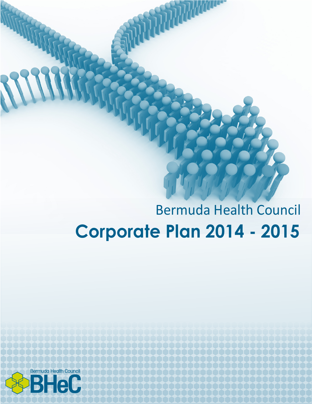# Bermuda Health Council **Corporate Plan 2014 - 2015**

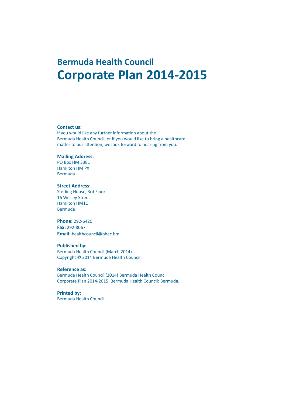# **Bermuda Health Council Corporate Plan 2014-2015**

#### **Contact us:**

If you would like any further information about the Bermuda Health Council, or if you would like to bring a healthcare matter to our attention, we look forward to hearing from you.

### **Mailing Address:**

PO Box HM 3381 Hamilton HM PX Bermuda

#### **Street Address:**

Sterling House, 3rd Floor 16 Wesley Street Hamilton HM11 Bermuda

### **Phone:** 292-6420 **Fax:** 292-8067

**Email:** healthcouncil@bhec.bm

### **Published by:**

Bermuda Health Council (March 2014) Copyright © 2014 Bermuda Health Council

#### **Reference as:**

Bermuda Health Council (2014) Bermuda Health Council Corporate Plan 2014-2015. Bermuda Health Council: Bermuda.

### **Printed by:**

Bermuda Health Council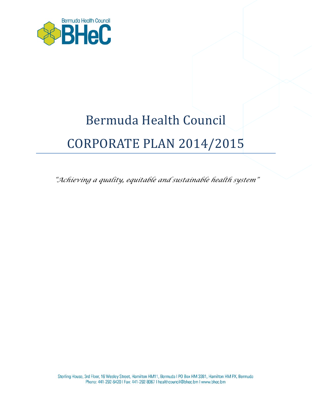

# Bermuda Health Council CORPORATE PLAN 2014/2015

*"Achieving a quality, equitable and sustainable health system"*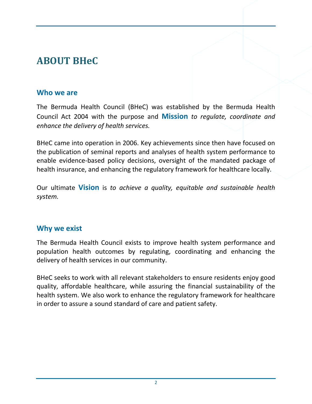# **ABOUT BHeC**

### **Who we are**

The Bermuda Health Council (BHeC) was established by the Bermuda Health Council Act 2004 with the purpose and **Mission** *to regulate, coordinate and enhance the delivery of health services.*

BHeC came into operation in 2006. Key achievements since then have focused on the publication of seminal reports and analyses of health system performance to enable evidence-based policy decisions, oversight of the mandated package of health insurance, and enhancing the regulatory framework for healthcare locally.

Our ultimate **Vision** is *to achieve a quality, equitable and sustainable health system.*

### **Why we exist**

The Bermuda Health Council exists to improve health system performance and population health outcomes by regulating, coordinating and enhancing the delivery of health services in our community.

BHeC seeks to work with all relevant stakeholders to ensure residents enjoy good quality, affordable healthcare, while assuring the financial sustainability of the health system. We also work to enhance the regulatory framework for healthcare in order to assure a sound standard of care and patient safety.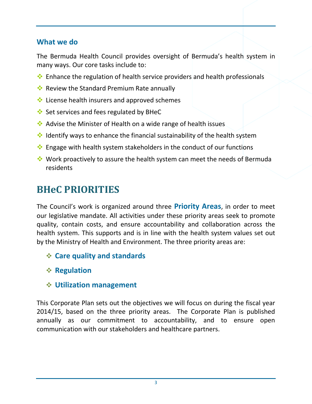### **What we do**

The Bermuda Health Council provides oversight of Bermuda's health system in many ways. Our core tasks include to:

- $\cdot$  Enhance the regulation of health service providers and health professionals
- Review the Standard Premium Rate annually
- $\cdot$  License health insurers and approved schemes
- Set services and fees regulated by BHeC
- Advise the Minister of Health on a wide range of health issues
- $\cdot$  Identify ways to enhance the financial sustainability of the health system
- ◆ Engage with health system stakeholders in the conduct of our functions
- Work proactively to assure the health system can meet the needs of Bermuda residents

# **BHeC PRIORITIES**

The Council's work is organized around three **Priority Areas**, in order to meet our legislative mandate. All activities under these priority areas seek to promote quality, contain costs, and ensure accountability and collaboration across the health system. This supports and is in line with the health system values set out by the Ministry of Health and Environment. The three priority areas are:

- **Care quality and standards**
- **Regulation**
- **Utilization management**

This Corporate Plan sets out the objectives we will focus on during the fiscal year 2014/15, based on the three priority areas. The Corporate Plan is published annually as our commitment to accountability, and to ensure open communication with our stakeholders and healthcare partners.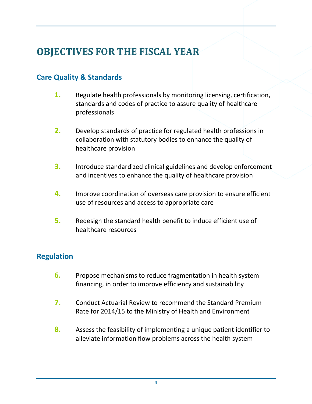# **OBJECTIVES FOR THE FISCAL YEAR**

# **Care Quality & Standards**

- **1.** Regulate health professionals by monitoring licensing, certification, standards and codes of practice to assure quality of healthcare professionals
- **2.** Develop standards of practice for regulated health professions in collaboration with statutory bodies to enhance the quality of healthcare provision
- **3.** Introduce standardized clinical guidelines and develop enforcement and incentives to enhance the quality of healthcare provision
- **4.** Improve coordination of overseas care provision to ensure efficient use of resources and access to appropriate care
- **5.** Redesign the standard health benefit to induce efficient use of healthcare resources

## **Regulation**

- **6.** Propose mechanisms to reduce fragmentation in health system financing, in order to improve efficiency and sustainability
- **7.** Conduct Actuarial Review to recommend the Standard Premium Rate for 2014/15 to the Ministry of Health and Environment
- **8.** Assess the feasibility of implementing a unique patient identifier to alleviate information flow problems across the health system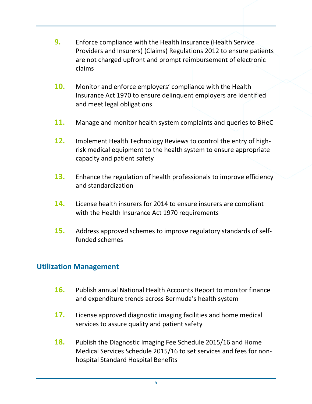- **9.** Enforce compliance with the Health Insurance (Health Service Providers and Insurers) (Claims) Regulations 2012 to ensure patients are not charged upfront and prompt reimbursement of electronic claims
- **10.** Monitor and enforce employers' compliance with the Health Insurance Act 1970 to ensure delinquent employers are identified and meet legal obligations
- **11.** Manage and monitor health system complaints and queries to BHeC
- **12.** Implement Health Technology Reviews to control the entry of highrisk medical equipment to the health system to ensure appropriate capacity and patient safety
- **13.** Enhance the regulation of health professionals to improve efficiency and standardization
- **14.** License health insurers for 2014 to ensure insurers are compliant with the Health Insurance Act 1970 requirements
- **15.** Address approved schemes to improve regulatory standards of selffunded schemes

### **Utilization Management**

- **16.** Publish annual National Health Accounts Report to monitor finance and expenditure trends across Bermuda's health system
- **17.** License approved diagnostic imaging facilities and home medical services to assure quality and patient safety
- **18.** Publish the Diagnostic Imaging Fee Schedule 2015/16 and Home Medical Services Schedule 2015/16 to set services and fees for nonhospital Standard Hospital Benefits